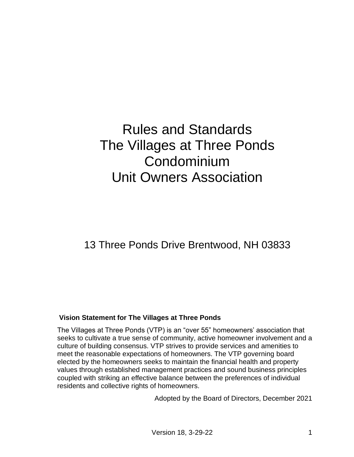# Rules and Standards The Villages at Three Ponds **Condominium** Unit Owners Association

# 13 Three Ponds Drive Brentwood, NH 03833

# **Vision Statement for The Villages at Three Ponds**

The Villages at Three Ponds (VTP) is an "over 55" homeowners' association that seeks to cultivate a true sense of community, active homeowner involvement and a culture of building consensus. VTP strives to provide services and amenities to meet the reasonable expectations of homeowners. The VTP governing board elected by the homeowners seeks to maintain the financial health and property values through established management practices and sound business principles coupled with striking an effective balance between the preferences of individual residents and collective rights of homeowners.

Adopted by the Board of Directors, December 2021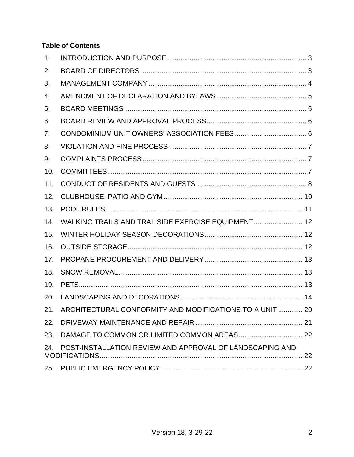# **Table of Contents**

| 1.  |                                                              |  |
|-----|--------------------------------------------------------------|--|
| 2.  |                                                              |  |
| 3.  |                                                              |  |
| 4.  |                                                              |  |
| 5.  |                                                              |  |
| 6.  |                                                              |  |
| 7.  |                                                              |  |
| 8.  |                                                              |  |
| 9.  |                                                              |  |
| 10. |                                                              |  |
| 11. |                                                              |  |
| 12. |                                                              |  |
| 13. |                                                              |  |
| 14. | WALKING TRAILS AND TRAILSIDE EXERCISE EQUIPMENT 12           |  |
| 15. |                                                              |  |
| 16. |                                                              |  |
| 17. |                                                              |  |
| 18. |                                                              |  |
| 19. |                                                              |  |
| 20. |                                                              |  |
|     | 21. ARCHITECTURAL CONFORMITY AND MODIFICATIONS TO A UNIT  20 |  |
| 22. |                                                              |  |
|     |                                                              |  |
| 24. | POST-INSTALLATION REVIEW AND APPROVAL OF LANDSCAPING AND     |  |
|     |                                                              |  |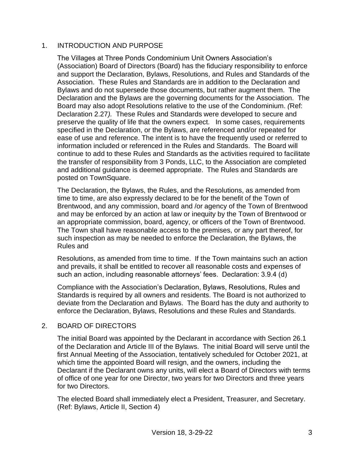# <span id="page-2-0"></span>1. INTRODUCTION AND PURPOSE

The Villages at Three Ponds Condominium Unit Owners Association's (Association) Board of Directors (Board) has the fiduciary responsibility to enforce and support the Declaration, Bylaws, Resolutions, and Rules and Standards of the Association. These Rules and Standards are in addition to the Declaration and Bylaws and do not supersede those documents, but rather augment them. The Declaration and the Bylaws are the governing documents for the Association. The Board may also adopt Resolutions relative to the use of the Condominium. *(*Ref: Declaration 2.27*).* These Rules and Standards were developed to secure and preserve the quality of life that the owners expect. In some cases, requirements specified in the Declaration, or the Bylaws, are referenced and/or repeated for ease of use and reference. The intent is to have the frequently used or referred to information included or referenced in the Rules and Standards. The Board will continue to add to these Rules and Standards as the activities required to facilitate the transfer of responsibility from 3 Ponds, LLC, to the Association are completed and additional guidance is deemed appropriate. The Rules and Standards are posted on TownSquare.

The Declaration, the Bylaws, the Rules, and the Resolutions, as amended from time to time, are also expressly declared to be for the benefit of the Town of Brentwood, and any commission, board and /or agency of the Town of Brentwood and may be enforced by an action at law or inequity by the Town of Brentwood or an appropriate commission, board, agency, or officers of the Town of Brentwood. The Town shall have reasonable access to the premises, or any part thereof, for such inspection as may be needed to enforce the Declaration, the Bylaws, the Rules and

Resolutions, as amended from time to time. If the Town maintains such an action and prevails, it shall be entitled to recover all reasonable costs and expenses of such an action, including reasonable attorneys' fees. Declaration: 3.9.4 (d)

Compliance with the Association's Declaration, Bylaws, Resolutions, Rules and Standards is required by all owners and residents. The Board is not authorized to deviate from the Declaration and Bylaws. The Board has the duty and authority to enforce the Declaration, Bylaws, Resolutions and these Rules and Standards.

#### <span id="page-2-1"></span>2. BOARD OF DIRECTORS

The initial Board was appointed by the Declarant in accordance with Section 26.1 of the Declaration and Article III of the Bylaws. The initial Board will serve until the first Annual Meeting of the Association, tentatively scheduled for October 2021, at which time the appointed Board will resign, and the owners, including the Declarant if the Declarant owns any units, will elect a Board of Directors with terms of office of one year for one Director, two years for two Directors and three years for two Directors.

The elected Board shall immediately elect a President, Treasurer, and Secretary. (Ref: Bylaws, Article II, Section 4)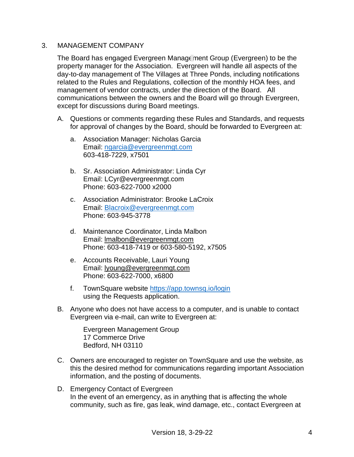#### <span id="page-3-0"></span>3. MANAGEMENT COMPANY

The Board has engaged Evergreen Management Group (Evergreen) to be the property manager for the Association. Evergreen will handle all aspects of the day-to-day management of The Villages at Three Ponds, including notifications related to the Rules and Regulations, collection of the monthly HOA fees, and management of vendor contracts, under the direction of the Board. All communications between the owners and the Board will go through Evergreen, except for discussions during Board meetings.

- A. Questions or comments regarding these Rules and Standards, and requests for approval of changes by the Board, should be forwarded to Evergreen at:
	- a. Association Manager: Nicholas Garcia Email: [ngarcia@evergreenmgt.com](mailto:ngarcia@evergreenmgt.com) 603-418-7229, x7501
	- b. Sr. Association Administrator: Linda Cyr Email: LCyr@evergreenmgt.com Phone: 603-622-7000 x2000
	- c. Association Administrator: Brooke LaCroix Email: [Blacroix@evergreenmgt.com](mailto:Blacroix@evergreenmgt.com) Phone: 603-945-3778
	- d. Maintenance Coordinator, Linda Malbon Email: lmalbon@evergreenmgt.com Phone: 603-418-7419 or 603-580-5192, x7505
	- e. Accounts Receivable, Lauri Young Email: lyoung@evergreenmgt.com Phone: 603-622-7000, x6800
	- f. TownSquare website<https://app.townsq.io/login> using the Requests application.
- B. Anyone who does not have access to a computer, and is unable to contact Evergreen via e-mail, can write to Evergreen at:

Evergreen Management Group 17 Commerce Drive Bedford, NH 03110

- C. Owners are encouraged to register on TownSquare and use the website, as this the desired method for communications regarding important Association information, and the posting of documents.
- D. Emergency Contact of Evergreen In the event of an emergency, as in anything that is affecting the whole community, such as fire, gas leak, wind damage, etc., contact Evergreen at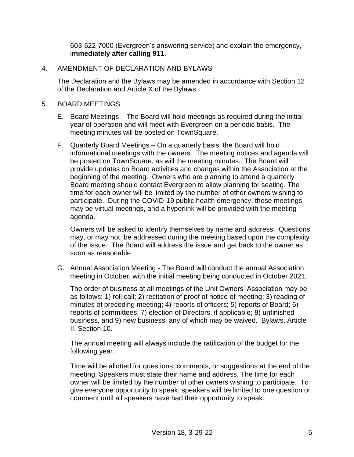603-622-7000 (Evergreen's answering service) and explain the emergency, i**mmediately after calling 911**.

#### <span id="page-4-0"></span>4. AMENDMENT OF DECLARATION AND BYLAWS

The Declaration and the Bylaws may be amended in accordance with Section 12 of the Declaration and Article X of the Bylaws.

#### <span id="page-4-1"></span>5. BOARD MEETINGS

- E. Board Meetings The Board will hold meetings as required during the initial year of operation and will meet with Evergreen on a periodic basis. The meeting minutes will be posted on TownSquare.
- F. Quarterly Board Meetings On a quarterly basis, the Board will hold informational meetings with the owners. The meeting notices and agenda will be posted on TownSquare, as will the meeting minutes. The Board will provide updates on Board activities and changes within the Association at the beginning of the meeting. Owners who are planning to attend a quarterly Board meeting should contact Evergreen to allow planning for seating. The time for each owner will be limited by the number of other owners wishing to participate. During the COVID-19 public health emergency, these meetings may be virtual meetings, and a hyperlink will be provided with the meeting agenda.

Owners will be asked to identify themselves by name and address. Questions may, or may not, be addressed during the meeting based upon the complexity of the issue. The Board will address the issue and get back to the owner as soon as reasonable

G. Annual Association Meeting - The Board will conduct the annual Association meeting in October, with the initial meeting being conducted in October 2021.

The order of business at all meetings of the Unit Owners' Association may be as follows: 1) roll call; 2) recitation of proof of notice of meeting; 3) reading of minutes of preceding meeting; 4) reports of officers; 5) reports of Board; 6) reports of committees; 7) election of Directors, if applicable; 8) unfinished business, and 9) new business, any of which may be waived. Bylaws, Article II, Section 10.

The annual meeting will always include the ratification of the budget for the following year.

Time will be allotted for questions, comments, or suggestions at the end of the meeting. Speakers must state their name and address. The time for each owner will be limited by the number of other owners wishing to participate. To give everyone opportunity to speak, speakers will be limited to one question or comment until all speakers have had their opportunity to speak.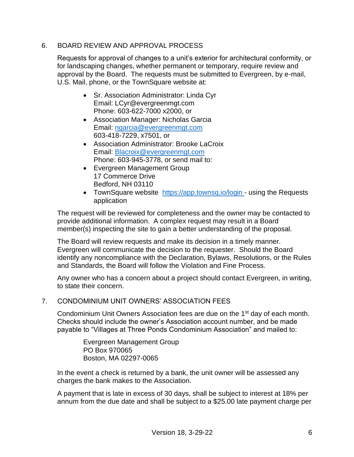# <span id="page-5-0"></span>6. BOARD REVIEW AND APPROVAL PROCESS

Requests for approval of changes to a unit's exterior for architectural conformity, or for landscaping changes, whether permanent or temporary, require review and approval by the Board. The requests must be submitted to Evergreen, by e-mail, U.S. Mail, phone, or the TownSquare website at:

- Sr. Association Administrator: Linda Cyr Email: LCyr@evergreenmgt.com Phone: 603-622-7000 x2000, or
- Association Manager: Nicholas Garcia Email: [ngarcia@evergreenmgt.com](mailto:ngarcia@evergreenmgt.com) 603-418-7229, x7501, or
- Association Administrator: Brooke LaCroix Email: [Blacroix@evergreenmgt.com](mailto:Blacroix@evergreenmgt.com) Phone: 603-945-3778, or send mail to:
- Evergreen Management Group 17 Commerce Drive Bedford, NH 03110
- TownSquare website <https://app.townsq.io/login> using the Requests application

The request will be reviewed for completeness and the owner may be contacted to provide additional information. A complex request may result in a Board member(s) inspecting the site to gain a better understanding of the proposal.

The Board will review requests and make its decision in a timely manner. Evergreen will communicate the decision to the requester. Should the Board identify any noncompliance with the Declaration, Bylaws, Resolutions, or the Rules and Standards, the Board will follow the Violation and Fine Process.

Any owner who has a concern about a project should contact Evergreen, in writing, to state their concern.

# <span id="page-5-1"></span>7. CONDOMINIUM UNIT OWNERS' ASSOCIATION FEES

Condominium Unit Owners Association fees are due on the 1<sup>st</sup> day of each month. Checks should include the owner's Association account number, and be made payable to "Villages at Three Ponds Condominium Association" and mailed to:

> Evergreen Management Group PO Box 970065 Boston, MA 02297-0065

In the event a check is returned by a bank, the unit owner will be assessed any charges the bank makes to the Association.

A payment that is late in excess of 30 days, shall be subject to interest at 18% per annum from the due date and shall be subject to a \$25.00 late payment charge per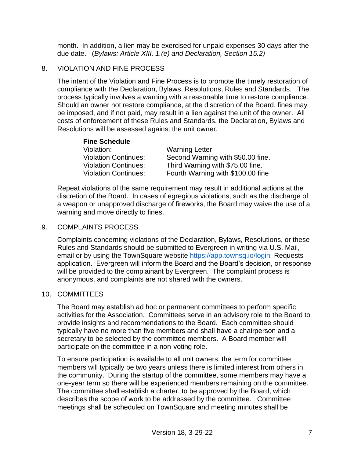month. In addition, a lien may be exercised for unpaid expenses 30 days after the due date. (*Bylaws: Article XIII, 1.(e) and Declaration, Section 15.2)*

#### <span id="page-6-0"></span>8. VIOLATION AND FINE PROCESS

The intent of the Violation and Fine Process is to promote the timely restoration of compliance with the Declaration, Bylaws, Resolutions, Rules and Standards. The process typically involves a warning with a reasonable time to restore compliance. Should an owner not restore compliance, at the discretion of the Board, fines may be imposed, and if not paid, may result in a lien against the unit of the owner. All costs of enforcement of these Rules and Standards, the Declaration, Bylaws and Resolutions will be assessed against the unit owner.

| <b>Fine Schedule</b>        |                                   |  |  |
|-----------------------------|-----------------------------------|--|--|
| Violation:                  | <b>Warning Letter</b>             |  |  |
| <b>Violation Continues:</b> | Second Warning with \$50.00 fine. |  |  |
| <b>Violation Continues:</b> | Third Warning with \$75.00 fine.  |  |  |
| <b>Violation Continues:</b> | Fourth Warning with \$100.00 fine |  |  |

Repeat violations of the same requirement may result in additional actions at the discretion of the Board. In cases of egregious violations, such as the discharge of a weapon or unapproved discharge of fireworks, the Board may waive the use of a warning and move directly to fines.

#### <span id="page-6-1"></span>9. COMPLAINTS PROCESS

Complaints concerning violations of the Declaration, Bylaws, Resolutions, or these Rules and Standards should be submitted to Evergreen in writing via U.S. Mail, email or by using the TownSquare website<https://app.townsq.io/login> Requests application. Evergreen will inform the Board and the Board's decision, or response will be provided to the complainant by Evergreen. The complaint process is anonymous, and complaints are not shared with the owners.

#### <span id="page-6-2"></span>10. COMMITTEES

The Board may establish ad hoc or permanent committees to perform specific activities for the Association. Committees serve in an advisory role to the Board to provide insights and recommendations to the Board. Each committee should typically have no more than five members and shall have a chairperson and a secretary to be selected by the committee members. A Board member will participate on the committee in a non-voting role.

To ensure participation is available to all unit owners, the term for committee members will typically be two years unless there is limited interest from others in the community. During the startup of the committee, some members may have a one-year term so there will be experienced members remaining on the committee. The committee shall establish a charter, to be approved by the Board, which describes the scope of work to be addressed by the committee. Committee meetings shall be scheduled on TownSquare and meeting minutes shall be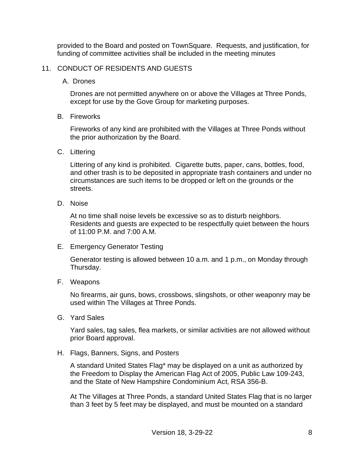provided to the Board and posted on TownSquare. Requests, and justification, for funding of committee activities shall be included in the meeting minutes

#### <span id="page-7-0"></span>11. CONDUCT OF RESIDENTS AND GUESTS

A. Drones

Drones are not permitted anywhere on or above the Villages at Three Ponds, except for use by the Gove Group for marketing purposes.

B. Fireworks

Fireworks of any kind are prohibited with the Villages at Three Ponds without the prior authorization by the Board.

C. Littering

Littering of any kind is prohibited. Cigarette butts, paper, cans, bottles, food, and other trash is to be deposited in appropriate trash containers and under no circumstances are such items to be dropped or left on the grounds or the streets.

D. Noise

At no time shall noise levels be excessive so as to disturb neighbors. Residents and guests are expected to be respectfully quiet between the hours of 11:00 P.M. and 7:00 A.M.

E. Emergency Generator Testing

Generator testing is allowed between 10 a.m. and 1 p.m., on Monday through Thursday.

F. Weapons

No firearms, air guns, bows, crossbows, slingshots, or other weaponry may be used within The Villages at Three Ponds.

G. Yard Sales

Yard sales, tag sales, flea markets, or similar activities are not allowed without prior Board approval.

H. Flags, Banners, Signs, and Posters

A standard United States Flag\* may be displayed on a unit as authorized by the Freedom to Display the American Flag Act of 2005, Public Law 109-243, and the State of New Hampshire Condominium Act, RSA 356-B.

At The Villages at Three Ponds, a standard United States Flag that is no larger than 3 feet by 5 feet may be displayed, and must be mounted on a standard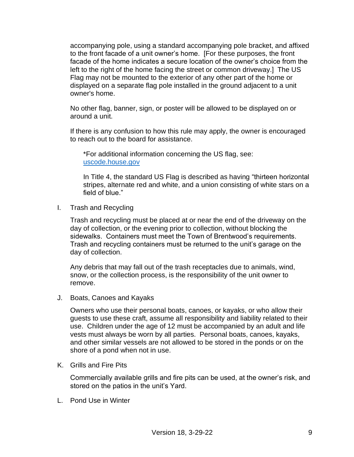accompanying pole, using a standard accompanying pole bracket, and affixed to the front facade of a unit owner's home. [For these purposes, the front facade of the home indicates a secure location of the owner's choice from the left to the right of the home facing the street or common driveway.] The US Flag may not be mounted to the exterior of any other part of the home or displayed on a separate flag pole installed in the ground adjacent to a unit owner's home.

No other flag, banner, sign, or poster will be allowed to be displayed on or around a unit.

If there is any confusion to how this rule may apply, the owner is encouraged to reach out to the board for assistance.

\*For additional information concerning the US flag, see: [uscode.house.gov](http://uscode.house.gov/)

In Title 4, the standard US Flag is described as having "thirteen horizontal stripes, alternate red and white, and a union consisting of white stars on a field of blue."

I. Trash and Recycling

Trash and recycling must be placed at or near the end of the driveway on the day of collection, or the evening prior to collection, without blocking the sidewalks. Containers must meet the Town of Brentwood's requirements. Trash and recycling containers must be returned to the unit's garage on the day of collection.

Any debris that may fall out of the trash receptacles due to animals, wind, snow, or the collection process, is the responsibility of the unit owner to remove.

J. Boats, Canoes and Kayaks

Owners who use their personal boats, canoes, or kayaks, or who allow their guests to use these craft, assume all responsibility and liability related to their use. Children under the age of 12 must be accompanied by an adult and life vests must always be worn by all parties. Personal boats, canoes, kayaks, and other similar vessels are not allowed to be stored in the ponds or on the shore of a pond when not in use.

K. Grills and Fire Pits

Commercially available grills and fire pits can be used, at the owner's risk, and stored on the patios in the unit's Yard.

L. Pond Use in Winter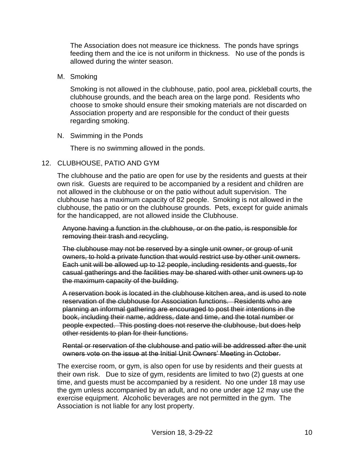The Association does not measure ice thickness. The ponds have springs feeding them and the ice is not uniform in thickness. No use of the ponds is allowed during the winter season.

M. Smoking

Smoking is not allowed in the clubhouse, patio, pool area, pickleball courts, the clubhouse grounds, and the beach area on the large pond. Residents who choose to smoke should ensure their smoking materials are not discarded on Association property and are responsible for the conduct of their guests regarding smoking.

N. Swimming in the Ponds

There is no swimming allowed in the ponds.

### <span id="page-9-0"></span>12. CLUBHOUSE, PATIO AND GYM

The clubhouse and the patio are open for use by the residents and guests at their own risk. Guests are required to be accompanied by a resident and children are not allowed in the clubhouse or on the patio without adult supervision. The clubhouse has a maximum capacity of 82 people. Smoking is not allowed in the clubhouse, the patio or on the clubhouse grounds. Pets, except for guide animals for the handicapped, are not allowed inside the Clubhouse.

Anyone having a function in the clubhouse, or on the patio, is responsible for removing their trash and recycling.

The clubhouse may not be reserved by a single unit owner, or group of unit owners, to hold a private function that would restrict use by other unit owners. Each unit will be allowed up to 12 people, including residents and guests, for casual gatherings and the facilities may be shared with other unit owners up to the maximum capacity of the building.

A reservation book is located in the clubhouse kitchen area, and is used to note reservation of the clubhouse for Association functions. Residents who are planning an informal gathering are encouraged to post their intentions in the book, including their name, address, date and time, and the total number or people expected. This posting does not reserve the clubhouse, but does help other residents to plan for their functions.

Rental or reservation of the clubhouse and patio will be addressed after the unit owners vote on the issue at the Initial Unit Owners' Meeting in October.

The exercise room, or gym, is also open for use by residents and their guests at their own risk. Due to size of gym, residents are limited to two (2) guests at one time, and guests must be accompanied by a resident. No one under 18 may use the gym unless accompanied by an adult, and no one under age 12 may use the exercise equipment. Alcoholic beverages are not permitted in the gym. The Association is not liable for any lost property.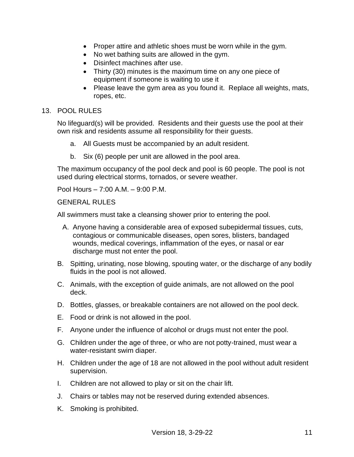- Proper attire and athletic shoes must be worn while in the gym.
- No wet bathing suits are allowed in the gym.
- Disinfect machines after use.
- Thirty (30) minutes is the maximum time on any one piece of equipment if someone is waiting to use it
- Please leave the gym area as you found it. Replace all weights, mats, ropes, etc.

#### <span id="page-10-0"></span>13. POOL RULES

No lifeguard(s) will be provided. Residents and their guests use the pool at their own risk and residents assume all responsibility for their guests.

- a. All Guests must be accompanied by an adult resident.
- b. Six (6) people per unit are allowed in the pool area.

The maximum occupancy of the pool deck and pool is 60 people. The pool is not used during electrical storms, tornados, or severe weather.

Pool Hours – 7:00 A.M. – 9:00 P.M.

### **GENERAL RULES**

All swimmers must take a cleansing shower prior to entering the pool.

- A. Anyone having a considerable area of exposed subepidermal tissues, cuts, contagious or communicable diseases, open sores, blisters, bandaged wounds, medical coverings, inflammation of the eyes, or nasal or ear discharge must not enter the pool.
- B. Spitting, urinating, nose blowing, spouting water, or the discharge of any bodily fluids in the pool is not allowed.
- C. Animals, with the exception of guide animals, are not allowed on the pool deck.
- D. Bottles, glasses, or breakable containers are not allowed on the pool deck.
- E. Food or drink is not allowed in the pool.
- F. Anyone under the influence of alcohol or drugs must not enter the pool.
- G. Children under the age of three, or who are not potty-trained, must wear a water-resistant swim diaper.
- H. Children under the age of 18 are not allowed in the pool without adult resident supervision.
- I. Children are not allowed to play or sit on the chair lift.
- J. Chairs or tables may not be reserved during extended absences.
- K. Smoking is prohibited.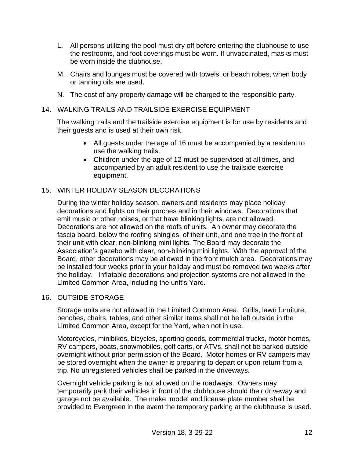- L. All persons utilizing the pool must dry off before entering the clubhouse to use the restrooms, and foot coverings must be worn. If unvaccinated, masks must be worn inside the clubhouse.
- M. Chairs and lounges must be covered with towels, or beach robes, when body or tanning oils are used.
- N. The cost of any property damage will be charged to the responsible party.

#### <span id="page-11-0"></span>14. WALKING TRAILS AND TRAILSIDE EXERCISE EQUIPMENT

The walking trails and the trailside exercise equipment is for use by residents and their guests and is used at their own risk.

- All guests under the age of 16 must be accompanied by a resident to use the walking trails.
- Children under the age of 12 must be supervised at all times, and accompanied by an adult resident to use the trailside exercise equipment.

# <span id="page-11-1"></span>15. WINTER HOLIDAY SEASON DECORATIONS

During the winter holiday season, owners and residents may place holiday decorations and lights on their porches and in their windows. Decorations that emit music or other noises, or that have blinking lights, are not allowed. Decorations are not allowed on the roofs of units. An owner may decorate the fascia board, below the roofing shingles, of their unit, and one tree in the front of their unit with clear, non-blinking mini lights. The Board may decorate the Association's gazebo with clear, non-blinking mini lights. With the approval of the Board, other decorations may be allowed in the front mulch area. Decorations may be installed four weeks prior to your holiday and must be removed two weeks after the holiday. Inflatable decorations and projection systems are not allowed in the Limited Common Area, including the unit's Yard.

#### <span id="page-11-2"></span>16. OUTSIDE STORAGE

Storage units are not allowed in the Limited Common Area. Grills, lawn furniture, benches, chairs, tables, and other similar items shall not be left outside in the Limited Common Area, except for the Yard, when not in use.

Motorcycles, minibikes, bicycles, sporting goods, commercial trucks, motor homes, RV campers, boats, snowmobiles, golf carts, or ATVs, shall not be parked outside overnight without prior permission of the Board. Motor homes or RV campers may be stored overnight when the owner is preparing to depart or upon return from a trip. No unregistered vehicles shall be parked in the driveways.

Overnight vehicle parking is not allowed on the roadways. Owners may temporarily park their vehicles in front of the clubhouse should their driveway and garage not be available. The make, model and license plate number shall be provided to Evergreen in the event the temporary parking at the clubhouse is used.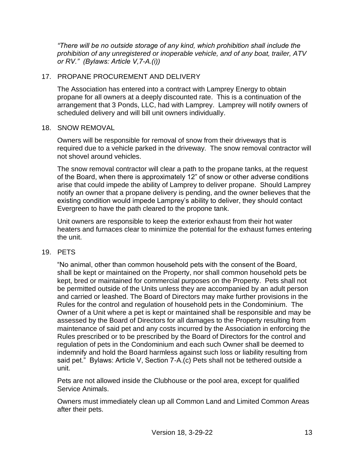*"There will be no outside storage of any kind, which prohibition shall include the prohibition of any unregistered or inoperable vehicle, and of any boat, trailer, ATV or RV." (Bylaws: Article V,7-A.(i))* 

# <span id="page-12-0"></span>17. PROPANE PROCUREMENT AND DELIVERY

The Association has entered into a contract with Lamprey Energy to obtain propane for all owners at a deeply discounted rate. This is a continuation of the arrangement that 3 Ponds, LLC, had with Lamprey. Lamprey will notify owners of scheduled delivery and will bill unit owners individually.

#### <span id="page-12-1"></span>18. SNOW REMOVAL

Owners will be responsible for removal of snow from their driveways that is required due to a vehicle parked in the driveway. The snow removal contractor will not shovel around vehicles.

The snow removal contractor will clear a path to the propane tanks, at the request of the Board, when there is approximately 12" of snow or other adverse conditions arise that could impede the ability of Lamprey to deliver propane. Should Lamprey notify an owner that a propane delivery is pending, and the owner believes that the existing condition would impede Lamprey's ability to deliver, they should contact Evergreen to have the path cleared to the propone tank.

Unit owners are responsible to keep the exterior exhaust from their hot water heaters and furnaces clear to minimize the potential for the exhaust fumes entering the unit.

#### <span id="page-12-2"></span>19. PETS

"No animal, other than common household pets with the consent of the Board, shall be kept or maintained on the Property, nor shall common household pets be kept, bred or maintained for commercial purposes on the Property. Pets shall not be permitted outside of the Units unless they are accompanied by an adult person and carried or leashed. The Board of Directors may make further provisions in the Rules for the control and regulation of household pets in the Condominium. The Owner of a Unit where a pet is kept or maintained shall be responsible and may be assessed by the Board of Directors for all damages to the Property resulting from maintenance of said pet and any costs incurred by the Association in enforcing the Rules prescribed or to be prescribed by the Board of Directors for the control and regulation of pets in the Condominium and each such Owner shall be deemed to indemnify and hold the Board harmless against such loss or liability resulting from said pet." Bylaws: Article V, Section 7-A.(c) Pets shall not be tethered outside a unit.

Pets are not allowed inside the Clubhouse or the pool area, except for qualified Service Animals.

Owners must immediately clean up all Common Land and Limited Common Areas after their pets.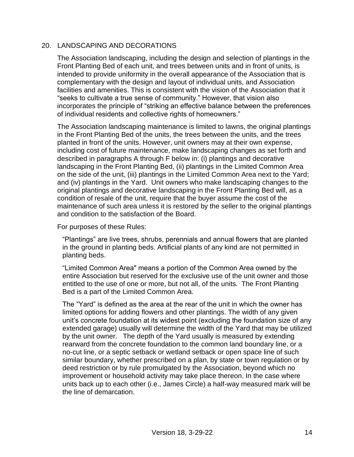### <span id="page-13-0"></span>20. LANDSCAPING AND DECORATIONS

The Association landscaping, including the design and selection of plantings in the Front Planting Bed of each unit, and trees between units and in front of units, is intended to provide uniformity in the overall appearance of the Association that is complementary with the design and layout of individual units, and Association facilities and amenities. This is consistent with the vision of the Association that it "seeks to cultivate a true sense of community." However, that vision also incorporates the principle of "striking an effective balance between the preferences of individual residents and collective rights of homeowners."

The Association landscaping maintenance is limited to lawns, the original plantings in the Front Planting Bed of the units, the trees between the units, and the trees planted in front of the units. However, unit owners may at their own expense, including cost of future maintenance, make landscaping changes as set forth and described in paragraphs A through F below in: (i) plantings and decorative landscaping in the Front Planting Bed, (ii) plantings in the Limited Common Area on the side of the unit, (iii) plantings in the Limited Common Area next to the Yard; and (iv) plantings in the Yard. Unit owners who make landscaping changes to the original plantings and decorative landscaping in the Front Planting Bed will, as a condition of resale of the unit, require that the buyer assume the cost of the maintenance of such area unless it is restored by the seller to the original plantings and condition to the satisfaction of the Board.

For purposes of these Rules:

"Plantings" are live trees, shrubs, perennials and annual flowers that are planted in the ground in planting beds. Artificial plants of any kind are not permitted in planting beds.

"Limited Common Area" means a portion of the Common Area owned by the entire Association but reserved for the exclusive use of the unit owner and those entitled to the use of one or more, but not all, of the units. The Front Planting Bed is a part of the Limited Common Area.

The "Yard" is defined as the area at the rear of the unit in which the owner has limited options for adding flowers and other plantings. The width of any given unit's concrete foundation at its widest point (excluding the foundation size of any extended garage) usually will determine the width of the Yard that may be utilized by the unit owner. The depth of the Yard usually is measured by extending rearward from the concrete foundation to the common land boundary line, or a no-cut line, or a septic setback or wetland setback or open space line of such similar boundary, whether prescribed on a plan, by state or town regulation or by deed restriction or by rule promulgated by the Association, beyond which no improvement or household activity may take place thereon. In the case where units back up to each other (i.e., James Circle) a half-way measured mark will be the line of demarcation.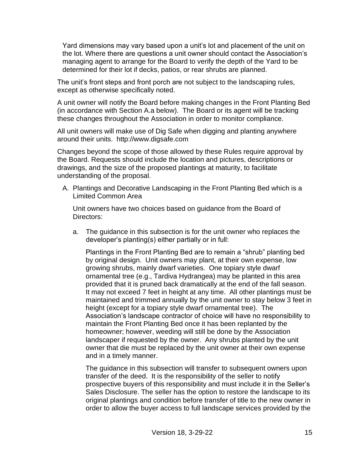Yard dimensions may vary based upon a unit's lot and placement of the unit on the lot. Where there are questions a unit owner should contact the Association's managing agent to arrange for the Board to verify the depth of the Yard to be determined for their lot if decks, patios, or rear shrubs are planned.

The unit's front steps and front porch are not subject to the landscaping rules, except as otherwise specifically noted.

A unit owner will notify the Board before making changes in the Front Planting Bed (in accordance with Section A.a below). The Board or its agent will be tracking these changes throughout the Association in order to monitor compliance.

All unit owners will make use of Dig Safe when digging and planting anywhere around their units. http://www.digsafe.com

Changes beyond the scope of those allowed by these Rules require approval by the Board. Requests should include the location and pictures, descriptions or drawings, and the size of the proposed plantings at maturity, to facilitate understanding of the proposal.

A. Plantings and Decorative Landscaping in the Front Planting Bed which is a Limited Common Area

Unit owners have two choices based on guidance from the Board of Directors:

a. The guidance in this subsection is for the unit owner who replaces the developer's planting(s) either partially or in full:

Plantings in the Front Planting Bed are to remain a "shrub" planting bed by original design. Unit owners may plant, at their own expense, low growing shrubs, mainly dwarf varieties. One topiary style dwarf ornamental tree (e.g., Tardiva Hydrangea) may be planted in this area provided that it is pruned back dramatically at the end of the fall season. It may not exceed 7 feet in height at any time. All other plantings must be maintained and trimmed annually by the unit owner to stay below 3 feet in height (except for a topiary style dwarf ornamental tree). The Association's landscape contractor of choice will have no responsibility to maintain the Front Planting Bed once it has been replanted by the homeowner; however, weeding will still be done by the Association landscaper if requested by the owner. Any shrubs planted by the unit owner that die must be replaced by the unit owner at their own expense and in a timely manner.

The guidance in this subsection will transfer to subsequent owners upon transfer of the deed. It is the responsibility of the seller to notify prospective buyers of this responsibility and must include it in the Seller's Sales Disclosure. The seller has the option to restore the landscape to its original plantings and condition before transfer of title to the new owner in order to allow the buyer access to full landscape services provided by the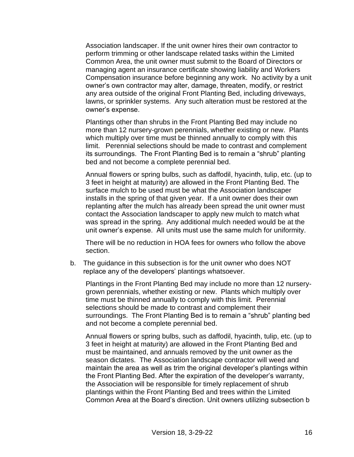Association landscaper. If the unit owner hires their own contractor to perform trimming or other landscape related tasks within the Limited Common Area, the unit owner must submit to the Board of Directors or managing agent an insurance certificate showing liability and Workers Compensation insurance before beginning any work. No activity by a unit owner's own contractor may alter, damage, threaten, modify, or restrict any area outside of the original Front Planting Bed, including driveways, lawns, or sprinkler systems. Any such alteration must be restored at the owner's expense.

Plantings other than shrubs in the Front Planting Bed may include no more than 12 nursery-grown perennials, whether existing or new. Plants which multiply over time must be thinned annually to comply with this limit. Perennial selections should be made to contrast and complement its surroundings. The Front Planting Bed is to remain a "shrub" planting bed and not become a complete perennial bed.

Annual flowers or spring bulbs, such as daffodil, hyacinth, tulip, etc. (up to 3 feet in height at maturity) are allowed in the Front Planting Bed. The surface mulch to be used must be what the Association landscaper installs in the spring of that given year. If a unit owner does their own replanting after the mulch has already been spread the unit owner must contact the Association landscaper to apply new mulch to match what was spread in the spring. Any additional mulch needed would be at the unit owner's expense. All units must use the same mulch for uniformity.

There will be no reduction in HOA fees for owners who follow the above section.

b. The guidance in this subsection is for the unit owner who does NOT replace any of the developers' plantings whatsoever.

Plantings in the Front Planting Bed may include no more than 12 nurserygrown perennials, whether existing or new. Plants which multiply over time must be thinned annually to comply with this limit. Perennial selections should be made to contrast and complement their surroundings. The Front Planting Bed is to remain a "shrub" planting bed and not become a complete perennial bed.

Annual flowers or spring bulbs, such as daffodil, hyacinth, tulip, etc. (up to 3 feet in height at maturity) are allowed in the Front Planting Bed and must be maintained, and annuals removed by the unit owner as the season dictates. The Association landscape contractor will weed and maintain the area as well as trim the original developer's plantings within the Front Planting Bed. After the expiration of the developer's warranty, the Association will be responsible for timely replacement of shrub plantings within the Front Planting Bed and trees within the Limited Common Area at the Board's direction. Unit owners utilizing subsection b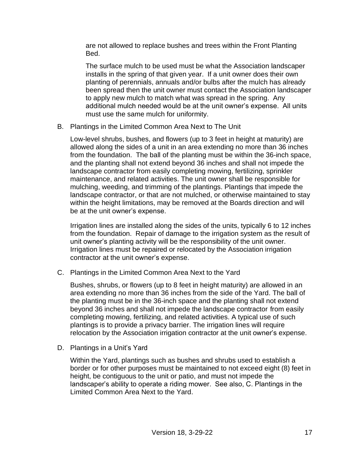are not allowed to replace bushes and trees within the Front Planting Bed.

The surface mulch to be used must be what the Association landscaper installs in the spring of that given year. If a unit owner does their own planting of perennials, annuals and/or bulbs after the mulch has already been spread then the unit owner must contact the Association landscaper to apply new mulch to match what was spread in the spring. Any additional mulch needed would be at the unit owner's expense. All units must use the same mulch for uniformity.

B. Plantings in the Limited Common Area Next to The Unit

Low-level shrubs, bushes, and flowers (up to 3 feet in height at maturity) are allowed along the sides of a unit in an area extending no more than 36 inches from the foundation. The ball of the planting must be within the 36-inch space, and the planting shall not extend beyond 36 inches and shall not impede the landscape contractor from easily completing mowing, fertilizing, sprinkler maintenance, and related activities. The unit owner shall be responsible for mulching, weeding, and trimming of the plantings. Plantings that impede the landscape contractor, or that are not mulched, or otherwise maintained to stay within the height limitations, may be removed at the Boards direction and will be at the unit owner's expense.

Irrigation lines are installed along the sides of the units, typically 6 to 12 inches from the foundation. Repair of damage to the irrigation system as the result of unit owner's planting activity will be the responsibility of the unit owner. Irrigation lines must be repaired or relocated by the Association irrigation contractor at the unit owner's expense.

C. Plantings in the Limited Common Area Next to the Yard

Bushes, shrubs, or flowers (up to 8 feet in height maturity) are allowed in an area extending no more than 36 inches from the side of the Yard. The ball of the planting must be in the 36-inch space and the planting shall not extend beyond 36 inches and shall not impede the landscape contractor from easily completing mowing, fertilizing, and related activities. A typical use of such plantings is to provide a privacy barrier. The irrigation lines will require relocation by the Association irrigation contractor at the unit owner's expense.

D. Plantings in a Unit's Yard

Within the Yard, plantings such as bushes and shrubs used to establish a border or for other purposes must be maintained to not exceed eight (8) feet in height, be contiguous to the unit or patio, and must not impede the landscaper's ability to operate a riding mower. See also, C. Plantings in the Limited Common Area Next to the Yard.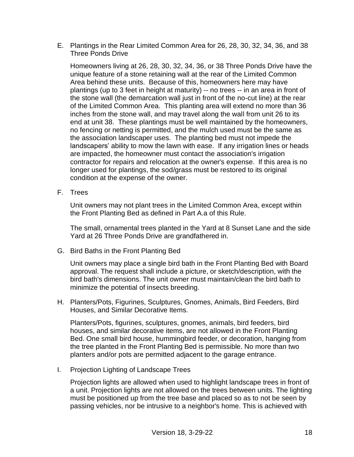E. Plantings in the Rear Limited Common Area for 26, 28, 30, 32, 34, 36, and 38 Three Ponds Drive

Homeowners living at 26, 28, 30, 32, 34, 36, or 38 Three Ponds Drive have the unique feature of a stone retaining wall at the rear of the Limited Common Area behind these units. Because of this, homeowners here may have plantings (up to 3 feet in height at maturity) -- no trees -- in an area in front of the stone wall (the demarcation wall just in front of the no-cut line) at the rear of the Limited Common Area. This planting area will extend no more than 36 inches from the stone wall, and may travel along the wall from unit 26 to its end at unit 38. These plantings must be well maintained by the homeowners, no fencing or netting is permitted, and the mulch used must be the same as the association landscaper uses. The planting bed must not impede the landscapers' ability to mow the lawn with ease. If any irrigation lines or heads are impacted, the homeowner must contact the association's irrigation contractor for repairs and relocation at the owner's expense. If this area is no longer used for plantings, the sod/grass must be restored to its original condition at the expense of the owner.

F. Trees

Unit owners may not plant trees in the Limited Common Area, except within the Front Planting Bed as defined in Part A.a of this Rule.

The small, ornamental trees planted in the Yard at 8 Sunset Lane and the side Yard at 26 Three Ponds Drive are grandfathered in.

G. Bird Baths in the Front Planting Bed

Unit owners may place a single bird bath in the Front Planting Bed with Board approval. The request shall include a picture, or sketch/description, with the bird bath's dimensions. The unit owner must maintain/clean the bird bath to minimize the potential of insects breeding.

H. Planters/Pots, Figurines, Sculptures, Gnomes, Animals, Bird Feeders, Bird Houses, and Similar Decorative Items.

Planters/Pots, figurines, sculptures, gnomes, animals, bird feeders, bird houses, and similar decorative items, are not allowed in the Front Planting Bed. One small bird house, hummingbird feeder, or decoration, hanging from the tree planted in the Front Planting Bed is permissible. No more than two planters and/or pots are permitted adjacent to the garage entrance.

I. Projection Lighting of Landscape Trees

Projection lights are allowed when used to highlight landscape trees in front of a unit. Projection lights are not allowed on the trees between units. The lighting must be positioned up from the tree base and placed so as to not be seen by passing vehicles, nor be intrusive to a neighbor's home. This is achieved with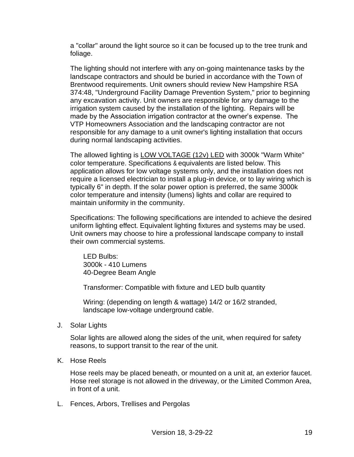a "collar" around the light source so it can be focused up to the tree trunk and foliage.

The lighting should not interfere with any on-going maintenance tasks by the landscape contractors and should be buried in accordance with the Town of Brentwood requirements. Unit owners should review New Hampshire RSA 374:48, "Underground Facility Damage Prevention System," prior to beginning any excavation activity. Unit owners are responsible for any damage to the irrigation system caused by the installation of the lighting. Repairs will be made by the Association irrigation contractor at the owner's expense. The VTP Homeowners Association and the landscaping contractor are not responsible for any damage to a unit owner's lighting installation that occurs during normal landscaping activities.

The allowed lighting is LOW VOLTAGE (12v) LED with 3000k "Warm White" color temperature. Specifications & equivalents are listed below. This application allows for low voltage systems only, and the installation does not require a licensed electrician to install a plug-in device, or to lay wiring which is typically 6" in depth. If the solar power option is preferred, the same 3000k color temperature and intensity (lumens) lights and collar are required to maintain uniformity in the community.

Specifications: The following specifications are intended to achieve the desired uniform lighting effect. Equivalent lighting fixtures and systems may be used. Unit owners may choose to hire a professional landscape company to install their own commercial systems.

LED Bulbs: 3000k - 410 Lumens 40-Degree Beam Angle

Transformer: Compatible with fixture and LED bulb quantity

Wiring: (depending on length & wattage) 14/2 or 16/2 stranded, landscape low-voltage underground cable.

J. Solar Lights

Solar lights are allowed along the sides of the unit, when required for safety reasons, to support transit to the rear of the unit.

K. Hose Reels

Hose reels may be placed beneath, or mounted on a unit at, an exterior faucet. Hose reel storage is not allowed in the driveway, or the Limited Common Area, in front of a unit.

L. Fences, Arbors, Trellises and Pergolas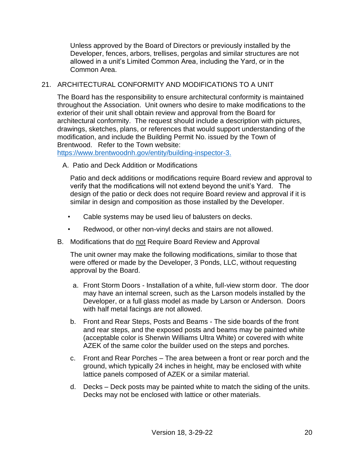Unless approved by the Board of Directors or previously installed by the Developer, fences, arbors, trellises, pergolas and similar structures are not allowed in a unit's Limited Common Area, including the Yard, or in the Common Area.

# <span id="page-19-0"></span>21. ARCHITECTURAL CONFORMITY AND MODIFICATIONS TO A UNIT

The Board has the responsibility to ensure architectural conformity is maintained throughout the Association. Unit owners who desire to make modifications to the exterior of their unit shall obtain review and approval from the Board for architectural conformity. The request should include a description with pictures, drawings, sketches, plans, or references that would support understanding of the modification, and include the Building Permit No. issued by the Town of Brentwood. Refer to the Town website:

[https://www.brentwoodnh.gov/entity/building-inspector-3.](https://www.brentwoodnh.gov/entity/building-inspector-3)

A. Patio and Deck Addition or Modifications

Patio and deck additions or modifications require Board review and approval to verify that the modifications will not extend beyond the unit's Yard. The design of the patio or deck does not require Board review and approval if it is similar in design and composition as those installed by the Developer.

- Cable systems may be used lieu of balusters on decks.
- Redwood, or other non-vinyl decks and stairs are not allowed.
- B. Modifications that do not Require Board Review and Approval

The unit owner may make the following modifications, similar to those that were offered or made by the Developer, 3 Ponds, LLC, without requesting approval by the Board.

- a. Front Storm Doors Installation of a white, full-view storm door. The door may have an internal screen, such as the Larson models installed by the Developer, or a full glass model as made by Larson or Anderson. Doors with half metal facings are not allowed.
- b. Front and Rear Steps, Posts and Beams The side boards of the front and rear steps, and the exposed posts and beams may be painted white (acceptable color is Sherwin Williams Ultra White) or covered with white AZEK of the same color the builder used on the steps and porches.
- c. Front and Rear Porches The area between a front or rear porch and the ground, which typically 24 inches in height, may be enclosed with white lattice panels composed of AZEK or a similar material.
- d. Decks Deck posts may be painted white to match the siding of the units. Decks may not be enclosed with lattice or other materials.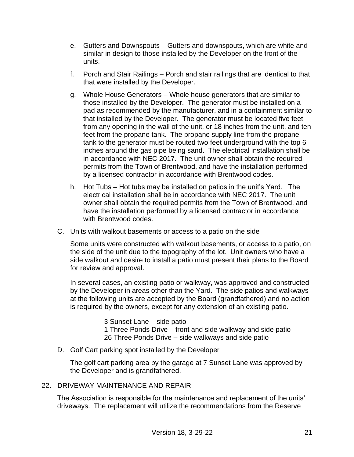- e. Gutters and Downspouts Gutters and downspouts, which are white and similar in design to those installed by the Developer on the front of the units.
- f. Porch and Stair Railings Porch and stair railings that are identical to that that were installed by the Developer.
- g. Whole House Generators Whole house generators that are similar to those installed by the Developer. The generator must be installed on a pad as recommended by the manufacturer, and in a containment similar to that installed by the Developer. The generator must be located five feet from any opening in the wall of the unit, or 18 inches from the unit, and ten feet from the propane tank. The propane supply line from the propane tank to the generator must be routed two feet underground with the top 6 inches around the gas pipe being sand. The electrical installation shall be in accordance with NEC 2017. The unit owner shall obtain the required permits from the Town of Brentwood, and have the installation performed by a licensed contractor in accordance with Brentwood codes.
- h. Hot Tubs Hot tubs may be installed on patios in the unit's Yard. The electrical installation shall be in accordance with NEC 2017. The unit owner shall obtain the required permits from the Town of Brentwood, and have the installation performed by a licensed contractor in accordance with Brentwood codes.
- C. Units with walkout basements or access to a patio on the side

Some units were constructed with walkout basements, or access to a patio, on the side of the unit due to the topography of the lot. Unit owners who have a side walkout and desire to install a patio must present their plans to the Board for review and approval.

In several cases, an existing patio or walkway, was approved and constructed by the Developer in areas other than the Yard. The side patios and walkways at the following units are accepted by the Board (grandfathered) and no action is required by the owners, except for any extension of an existing patio.

> 3 Sunset Lane – side patio 1 Three Ponds Drive – front and side walkway and side patio 26 Three Ponds Drive – side walkways and side patio

D. Golf Cart parking spot installed by the Developer

The golf cart parking area by the garage at 7 Sunset Lane was approved by the Developer and is grandfathered.

# <span id="page-20-0"></span>22. DRIVEWAY MAINTENANCE AND REPAIR

The Association is responsible for the maintenance and replacement of the units' driveways. The replacement will utilize the recommendations from the Reserve